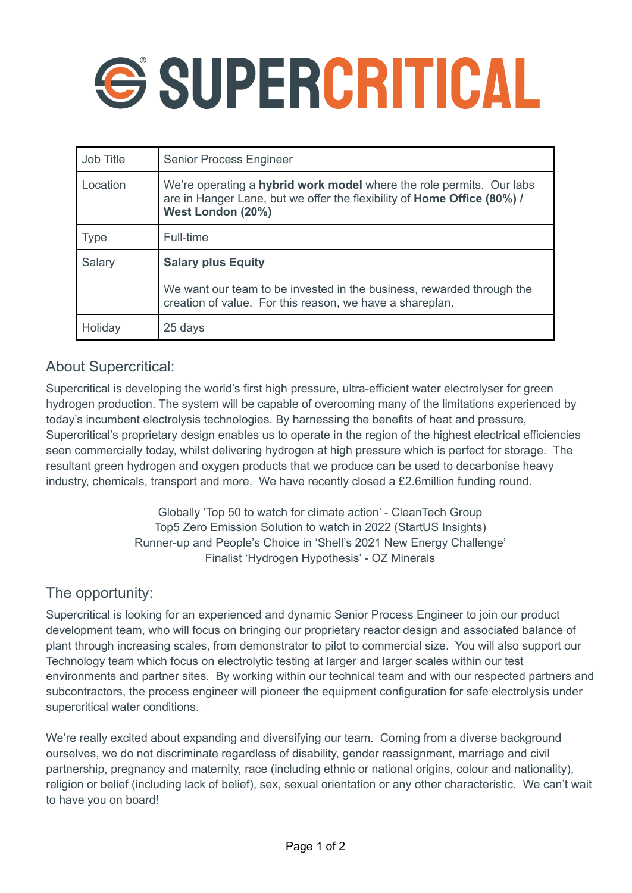# *<u>GSUPERCRITICAL</u>*

| Job Title   | <b>Senior Process Engineer</b>                                                                                                                                       |
|-------------|----------------------------------------------------------------------------------------------------------------------------------------------------------------------|
| Location    | We're operating a hybrid work model where the role permits. Our labs<br>are in Hanger Lane, but we offer the flexibility of Home Office (80%) /<br>West London (20%) |
| <b>Type</b> | Full-time                                                                                                                                                            |
| Salary      | <b>Salary plus Equity</b><br>We want our team to be invested in the business, rewarded through the<br>creation of value. For this reason, we have a shareplan.       |
| Holiday     | 25 days                                                                                                                                                              |

## About Supercritical:

Supercritical is developing the world's first high pressure, ultra-efficient water electrolyser for green hydrogen production. The system will be capable of overcoming many of the limitations experienced by today's incumbent electrolysis technologies. By harnessing the benefits of heat and pressure, Supercritical's proprietary design enables us to operate in the region of the highest electrical efficiencies seen commercially today, whilst delivering hydrogen at high pressure which is perfect for storage. The resultant green hydrogen and oxygen products that we produce can be used to decarbonise heavy industry, chemicals, transport and more. We have recently closed a £2.6million funding round.

> Globally 'Top 50 to watch for climate action' - CleanTech Group Top5 Zero Emission Solution to watch in 2022 (StartUS Insights) Runner-up and People's Choice in 'Shell's 2021 New Energy Challenge' Finalist 'Hydrogen Hypothesis' - OZ Minerals

### The opportunity:

Supercritical is looking for an experienced and dynamic Senior Process Engineer to join our product development team, who will focus on bringing our proprietary reactor design and associated balance of plant through increasing scales, from demonstrator to pilot to commercial size. You will also support our Technology team which focus on electrolytic testing at larger and larger scales within our test environments and partner sites. By working within our technical team and with our respected partners and subcontractors, the process engineer will pioneer the equipment configuration for safe electrolysis under supercritical water conditions.

We're really excited about expanding and diversifying our team. Coming from a diverse background ourselves, we do not discriminate regardless of disability, gender reassignment, marriage and civil partnership, pregnancy and maternity, race (including ethnic or national origins, colour and nationality), religion or belief (including lack of belief), sex, sexual orientation or any other characteristic. We can't wait to have you on board!